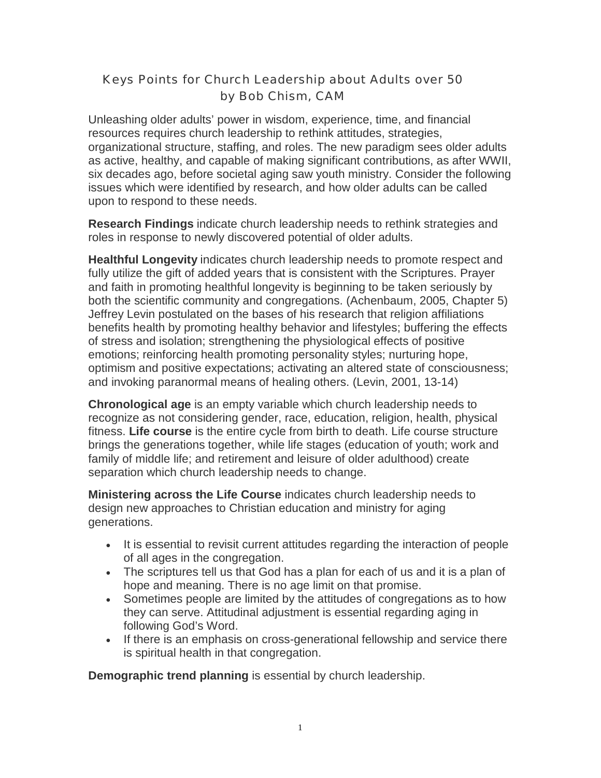## Keys Points for Church Leadership about Adults over 50 by Bob Chism, CAM

Unleashing older adults' power in wisdom, experience, time, and financial resources requires church leadership to rethink attitudes, strategies, organizational structure, staffing, and roles. The new paradigm sees older adults as active, healthy, and capable of making significant contributions, as after WWII, six decades ago, before societal aging saw youth ministry. Consider the following issues which were identified by research, and how older adults can be called upon to respond to these needs.

**Research Findings** indicate church leadership needs to rethink strategies and roles in response to newly discovered potential of older adults.

**Healthful Longevity** indicates church leadership needs to promote respect and fully utilize the gift of added years that is consistent with the Scriptures. Prayer and faith in promoting healthful longevity is beginning to be taken seriously by both the scientific community and congregations. (Achenbaum, 2005, Chapter 5) Jeffrey Levin postulated on the bases of his research that religion affiliations benefits health by promoting healthy behavior and lifestyles; buffering the effects of stress and isolation; strengthening the physiological effects of positive emotions; reinforcing health promoting personality styles; nurturing hope, optimism and positive expectations; activating an altered state of consciousness; and invoking paranormal means of healing others. (Levin, 2001, 13-14)

**Chronological age** is an empty variable which church leadership needs to recognize as not considering gender, race, education, religion, health, physical fitness. **Life course** is the entire cycle from birth to death. Life course structure brings the generations together, while life stages (education of youth; work and family of middle life; and retirement and leisure of older adulthood) create separation which church leadership needs to change.

**Ministering across the Life Course** indicates church leadership needs to design new approaches to Christian education and ministry for aging generations.

- It is essential to revisit current attitudes regarding the interaction of people of all ages in the congregation.
- The scriptures tell us that God has a plan for each of us and it is a plan of hope and meaning. There is no age limit on that promise.
- Sometimes people are limited by the attitudes of congregations as to how they can serve. Attitudinal adjustment is essential regarding aging in following God's Word.
- If there is an emphasis on cross-generational fellowship and service there is spiritual health in that congregation.

**Demographic trend planning** is essential by church leadership.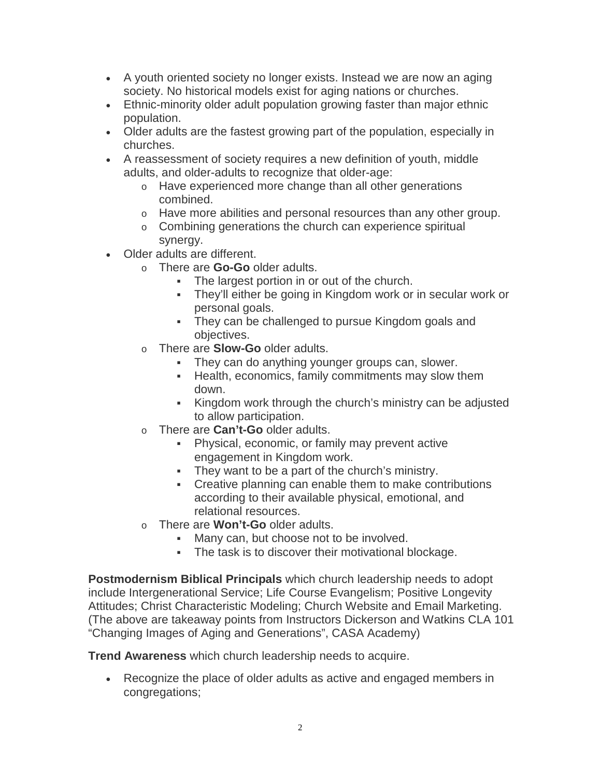- A youth oriented society no longer exists. Instead we are now an aging society. No historical models exist for aging nations or churches.
- Ethnic-minority older adult population growing faster than major ethnic population.
- Older adults are the fastest growing part of the population, especially in churches.
- A reassessment of society requires a new definition of youth, middle adults, and older-adults to recognize that older-age:
	- o Have experienced more change than all other generations combined.
	- o Have more abilities and personal resources than any other group.
	- o Combining generations the church can experience spiritual synergy.
- Older adults are different.
	- o There are **Go-Go** older adults.
		- The largest portion in or out of the church.
		- They'll either be going in Kingdom work or in secular work or personal goals.
		- They can be challenged to pursue Kingdom goals and objectives.
	- o There are **Slow-Go** older adults.
		- They can do anything younger groups can, slower.
		- **Health, economics, family commitments may slow them** down.
		- Kingdom work through the church's ministry can be adjusted to allow participation.
	- o There are **Can't-Go** older adults.
		- Physical, economic, or family may prevent active engagement in Kingdom work.
		- They want to be a part of the church's ministry.
		- Creative planning can enable them to make contributions according to their available physical, emotional, and relational resources.
	- o There are **Won't-Go** older adults.
		- **Many can, but choose not to be involved.**
		- The task is to discover their motivational blockage.

**Postmodernism Biblical Principals** which church leadership needs to adopt include Intergenerational Service; Life Course Evangelism; Positive Longevity Attitudes; Christ Characteristic Modeling; Church Website and Email Marketing. (The above are takeaway points from Instructors Dickerson and Watkins CLA 101 "Changing Images of Aging and Generations", CASA Academy)

**Trend Awareness** which church leadership needs to acquire.

• Recognize the place of older adults as active and engaged members in congregations;